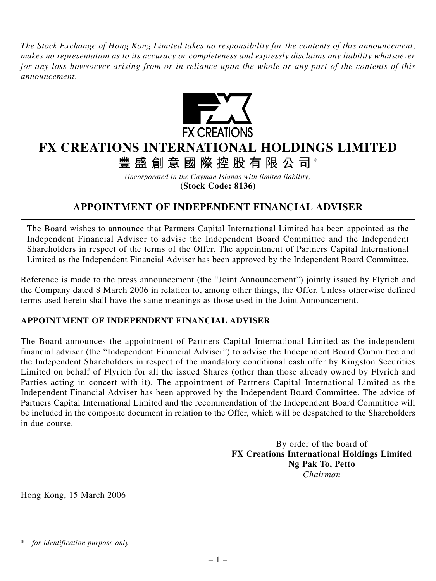*The Stock Exchange of Hong Kong Limited takes no responsibility for the contents of this announcement, makes no representation as to its accuracy or completeness and expressly disclaims any liability whatsoever for any loss howsoever arising from or in reliance upon the whole or any part of the contents of this announcement.*



## **FX CREATIONS INTERNATIONAL HOLDINGS LIMITED**

**豐盛創意國際控股有限公司** \*

*(incorporated in the Cayman Islands with limited liability)* **(Stock Code: 8136)**

## **APPOINTMENT OF INDEPENDENT FINANCIAL ADVISER**

The Board wishes to announce that Partners Capital International Limited has been appointed as the Independent Financial Adviser to advise the Independent Board Committee and the Independent Shareholders in respect of the terms of the Offer. The appointment of Partners Capital International Limited as the Independent Financial Adviser has been approved by the Independent Board Committee.

Reference is made to the press announcement (the "Joint Announcement") jointly issued by Flyrich and the Company dated 8 March 2006 in relation to, among other things, the Offer. Unless otherwise defined terms used herein shall have the same meanings as those used in the Joint Announcement.

## **APPOINTMENT OF INDEPENDENT FINANCIAL ADVISER**

The Board announces the appointment of Partners Capital International Limited as the independent financial adviser (the "Independent Financial Adviser") to advise the Independent Board Committee and the Independent Shareholders in respect of the mandatory conditional cash offer by Kingston Securities Limited on behalf of Flyrich for all the issued Shares (other than those already owned by Flyrich and Parties acting in concert with it). The appointment of Partners Capital International Limited as the Independent Financial Adviser has been approved by the Independent Board Committee. The advice of Partners Capital International Limited and the recommendation of the Independent Board Committee will be included in the composite document in relation to the Offer, which will be despatched to the Shareholders in due course.

> By order of the board of **FX Creations International Holdings Limited Ng Pak To, Petto** *Chairman*

Hong Kong, 15 March 2006

*<sup>\*</sup> for identification purpose only*